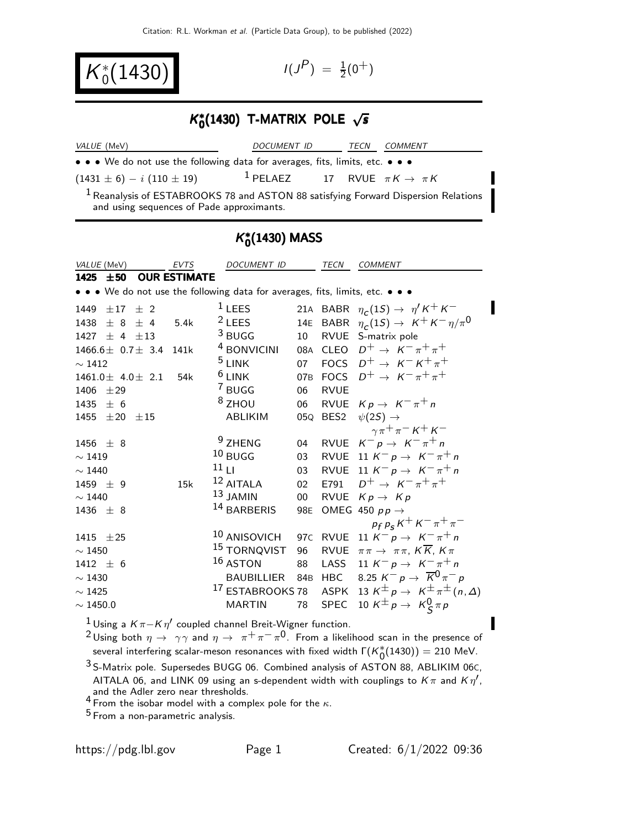$K_0^*(1430)$   $(1430)$ 

$$
I(J^P) \; = \; \tfrac{1}{2}(0^+)
$$

#### K ∗  $K_0^*(1430)$  T-MATRIX POLE  $\sqrt{s}$  $\kappa_{0}^{*}$ (1430) T-MATRIX POLE  $\sqrt{s}$

| <i>VALUE</i> (MeV)                                                                                                                         | DOCUMENT ID                                           |  | COMMENT |
|--------------------------------------------------------------------------------------------------------------------------------------------|-------------------------------------------------------|--|---------|
| • • • We do not use the following data for averages, fits, limits, etc. • • •                                                              |                                                       |  |         |
| $(1431 \pm 6) - i (110 \pm 19)$                                                                                                            | <sup>1</sup> PELAEZ 17 RVUE $\pi K \rightarrow \pi K$ |  |         |
| <sup>1</sup> Reanalysis of ESTABROOKS 78 and ASTON 88 satisfying Forward Dispersion Relations<br>and using sequences of Pade approximants. |                                                       |  |         |

# K ∗  $_{0}^{*}(1430)$  MASS

| VALUE (MeV)                                                                   | EVTS                | DOCUMENT ID             |        | TECN        | <b>COMMENT</b>                                                                        |
|-------------------------------------------------------------------------------|---------------------|-------------------------|--------|-------------|---------------------------------------------------------------------------------------|
| $1425 \pm 50$                                                                 | <b>OUR ESTIMATE</b> |                         |        |             |                                                                                       |
| • • • We do not use the following data for averages, fits, limits, etc. • • • |                     |                         |        |             |                                                                                       |
| $\pm 17$ $\pm$ 2<br>1449                                                      |                     | $1$ LEES                |        |             | 21A BABR $\eta_c(1S) \rightarrow \eta' K^+ K^-$                                       |
| $+8+4$<br>1438                                                                | 5.4k                | $2$ LEES                |        |             | 14E BABR $\eta_c(1S) \rightarrow K^+K^-\eta/\pi^0$                                    |
| $\pm$ 4 $\pm$ 13<br>1427                                                      |                     | $3$ BUGG                | 10     |             | RVUE S-matrix pole                                                                    |
| $1466.6 \pm 0.7 \pm 3.4$ 141k                                                 |                     | <sup>4</sup> BONVICINI  |        |             | 08A CLEO $D^+ \rightarrow K^- \pi^+ \pi^+$                                            |
| $\sim$ 1412                                                                   |                     | $5$ LINK                |        |             | 07 FOCS $D^+ \rightarrow K^- K^+ \pi^+$                                               |
| $1461.0 \pm 4.0 \pm 2.1$                                                      | 54k                 | $6$ LINK                |        |             | 07B FOCS $D^+ \rightarrow K^- \pi^+ \pi^+$                                            |
| 1406<br>±29                                                                   |                     | 7 BUGG                  | 06     | <b>RVUE</b> |                                                                                       |
| 1435<br>± 6                                                                   |                     | $8$ ZHOU                | 06     |             | RVUE $Kp \rightarrow K^{-} \pi^{+} n$                                                 |
| $1455 \pm 20 \pm 15$                                                          |                     | <b>ABLIKIM</b>          |        |             | 05Q BES2 $\psi(2S) \rightarrow$                                                       |
|                                                                               |                     |                         |        |             | $\gamma \pi^+ \pi^- K^+ K^-$                                                          |
| 1456 $\pm$ 8                                                                  |                     | <sup>9</sup> ZHENG      |        |             | 04 RVUE $K^- p \rightarrow K^- \pi^+ n$                                               |
| $\sim$ 1419                                                                   |                     | $10$ BUGG               | 03     |             | RVUE 11 $K^- p \rightarrow K^- \pi^+ n$                                               |
| $\sim$ 1440                                                                   |                     | 11 <sub>LI</sub>        | 03     |             | RVUE 11 $K^- p \rightarrow K^- \pi^+ n$                                               |
| 1459 $\pm$ 9                                                                  | 15k                 | $12$ AITALA             |        |             | 02 E791 $D^+ \to K^- \pi^+ \pi^+$                                                     |
| $\sim$ 1440                                                                   |                     | $13$ JAMIN              | $00\,$ |             | RVUE $Kp \rightarrow Kp$                                                              |
| 1436 $\pm$ 8                                                                  |                     | 14 BARBERIS             | 98E    |             | OMEG 450 $pp \rightarrow$                                                             |
|                                                                               |                     |                         |        |             | $p_f p_s K^+ K^- \pi^+ \pi^-$                                                         |
| 1415 $\pm 25$                                                                 |                     | $^{10}$ ANISOVICH       |        |             | 97C RVUE 11 $K^- p \to K^- \pi^+ n$                                                   |
| $\sim$ 1450                                                                   |                     | <sup>15</sup> TORNQVIST | 96     | RVUE        | $\pi\pi \to \pi\pi$ , $K\overline{K}$ , $K\pi$                                        |
| $1412 \pm 6$                                                                  |                     | $16$ ASTON              | 88     | LASS        | 11 $K^- p \to K^- \pi^+ n$                                                            |
| $\sim$ 1430                                                                   |                     |                         |        |             | BAUBILLIER 84B HBC 8.25 $K^- p \rightarrow \overline{K}^0 \pi^- p$                    |
| $\sim$ 1425                                                                   |                     |                         |        |             | <sup>17</sup> ESTABROOKS 78 ASPK 13 $K^{\pm}p \rightarrow K^{\pm}\pi^{\pm}(n,\Delta)$ |
| $\sim$ 1450.0                                                                 |                     | <b>MARTIN</b>           | 78     | SPEC        | 10 K <sup><math>\pm</math></sup> p $\rightarrow$ K <sub>S</sub> $\pi$ p               |

 $^1$ Using a Kπ−Kη $^\prime$  coupled channel Breit-Wigner function.

2 Using both  $\eta \to \gamma \gamma$  and  $\eta \to \pi^+ \pi^- \pi^0$ . From a likelihood scan in the presence of several interfering scalar-meson resonances with fixed width  $\Gamma(K_0^*(1430)) = 210$  MeV.

3 S-Matrix pole. Supersedes BUGG 06. Combined analysis of ASTON 88, ABLIKIM 06C, AITALA 06, and LINK 09 using an s-dependent width with couplings to  $K\pi$  and  $K\eta'$ , and the Adler zero near thresholds.<br><sup>4</sup> From the isobar model with a complex pole for the  $\kappa$ .

5 From a non-parametric analysis.

 $\blacksquare$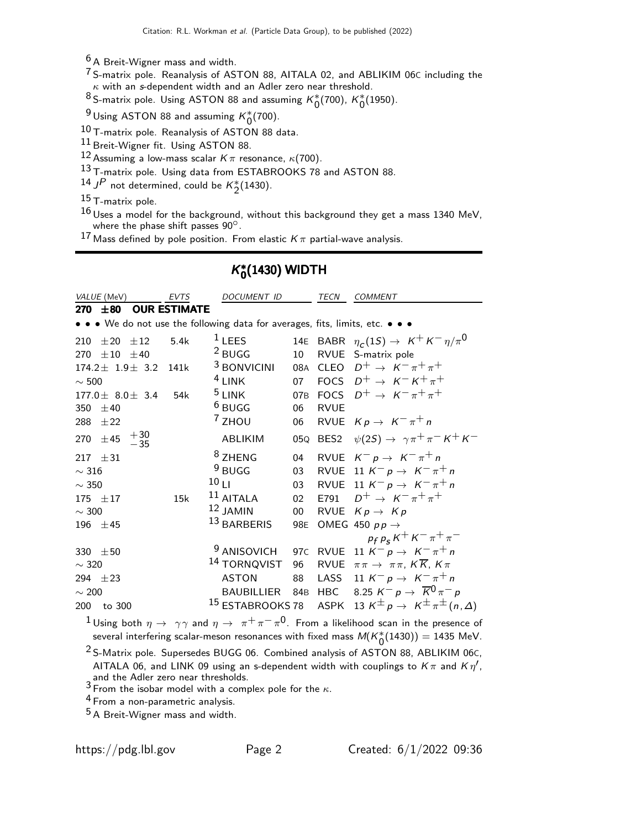<sup>6</sup> A Breit-Wigner mass and width.

<sup>7</sup> S-matrix pole. Reanalysis of ASTON 88, AITALA 02, and ABLIKIM 06C including the  $\kappa$  with an s-dependent width and an Adler zero near threshold.

8 S-matrix pole. Using ASTON 88 and assuming  $K_0^*(700)$ ,  $K_0^*(1950)$ .

<sup>9</sup> Using ASTON 88 and assuming  $K_0^*(700)$ .

10 T-matrix pole. Reanalysis of ASTON 88 data.

11 Breit-Wigner fit. Using ASTON 88.

12 Assuming a low-mass scalar  $K\pi$  resonance,  $\kappa$ (700).

13 T-matrix pole. Using data from ESTABROOKS 78 and ASTON 88.

14 JP not determined, could be  $K_2^*(1430)$ .

 $15$  T-matrix pole.

 $16$  Uses a model for the background, without this background they get a mass 1340 MeV, where the phase shift passes 90°.

17 Mass defined by pole position. From elastic  $K\pi$  partial-wave analysis.

| VALUE (MeV)                                                                   | EVTS                | DOCUMENT ID             |        | TECN        | COMMENT                                                                                |
|-------------------------------------------------------------------------------|---------------------|-------------------------|--------|-------------|----------------------------------------------------------------------------------------|
| 270 $\pm 80$                                                                  | <b>OUR ESTIMATE</b> |                         |        |             |                                                                                        |
| • • • We do not use the following data for averages, fits, limits, etc. • • • |                     |                         |        |             |                                                                                        |
| 210<br>$\pm 20 \pm 12$                                                        | 5.4k                | $1$ LEES                |        |             | 14E BABR $\eta_c(1S) \rightarrow K^+ K^- \eta/\pi^0$                                   |
| $\pm 10 \pm 40$<br>270                                                        |                     | $2$ BUGG                | 10     |             | RVUE S-matrix pole                                                                     |
| $174.2 \pm 1.9 \pm 3.2$                                                       | 141k                | <sup>3</sup> BONVICINI  |        |             | 08A CLEO $D^+ \rightarrow K^- \pi^+ \pi^+$                                             |
| $\sim 500$                                                                    |                     | $4$ LINK                |        |             | 07 FOCS $D^+ \rightarrow K^- K^+ \pi^+$                                                |
| $177.0 \pm 8.0 \pm 3.4$                                                       | 54k                 | $5$ LINK                |        |             | 07B FOCS $D^+ \rightarrow K^- \pi^+ \pi^+$                                             |
| 350 $\pm 40$                                                                  |                     | $6$ BUGG                | 06     | <b>RVUE</b> |                                                                                        |
| 288 $\pm 22$                                                                  |                     | $7$ ZHOU                | 06     |             | RVUE $Kp \rightarrow K^-\pi^+n$                                                        |
| 270 $\pm 45$ $^{+30}_{-35}$                                                   |                     | <b>ABLIKIM</b>          | 05Q    |             | BES2 $\psi(2S) \rightarrow \gamma \pi^+ \pi^- K^+ K^-$                                 |
| $\pm$ 31<br>217                                                               |                     | <sup>8</sup> ZHENG      | 04     |             | RVUE $K^- p \rightarrow K^- \pi^+ n$                                                   |
| $\sim$ 316                                                                    |                     | $9$ BUGG                | 03     |             | RVUE 11 $K^- p \rightarrow K^- \pi^+ n$                                                |
| $\sim$ 350                                                                    |                     | 10 <sub>LI</sub>        | 03     |             | RVUE 11 $K^- p \rightarrow K^- \pi^+ n$                                                |
| 175 $\pm$ 17                                                                  | 15k                 | $11$ AITALA             | 02     |             | E791 $D^+ \to K^- \pi^+ \pi^+$                                                         |
| $\sim$ 300                                                                    |                     | $12$ JAMIN              | $00\,$ |             | RVUE $Kp \rightarrow Kp$                                                               |
| 196 $\pm 45$                                                                  |                     | 13 BARBERIS             | 98E    |             | OMEG 450 $pp \rightarrow$                                                              |
|                                                                               |                     |                         |        |             | $p_f p_s K^+ K^- \pi^+ \pi^-$                                                          |
| 330 $\pm 50$                                                                  |                     | <sup>9</sup> ANISOVICH  |        |             | 97C RVUE 11 $K^- p \to K^- \pi^+ n$                                                    |
| $\sim$ 320                                                                    |                     | <sup>14</sup> TORNQVIST | 96     |             | RVUE $\pi \pi \rightarrow \pi \pi$ , $K \overline{K}$ , $K \pi$                        |
| 294 $\pm 23$                                                                  |                     | <b>ASTON</b>            | 88     | LASS        | 11 $K^- p \to K^- \pi^+ n$                                                             |
| $\sim 200$                                                                    |                     | BAUBILLIER 84B          |        |             | HBC 8.25 $K^- p \rightarrow \overline{K}^0 \pi^- p$                                    |
| 200<br>to 300                                                                 |                     |                         |        |             | <sup>15</sup> ESTABROOKS 78 ASPK 13 $K^{\pm}p \rightarrow K^{\pm} \pi^{\pm}(n,\Delta)$ |
|                                                                               |                     |                         |        |             |                                                                                        |

# K ∗  $_{0}^{*}(1430)$  WIDTH

 $1$  Using both  $\eta \to \gamma \gamma$  and  $\eta \to \pi^+ \pi^- \pi^0$ . From a likelihood scan in the presence of several interfering scalar-meson resonances with fixed mass  $M(K_0^*(1430)) = 1435$  MeV.

2 S-Matrix pole. Supersedes BUGG 06. Combined analysis of ASTON 88, ABLIKIM 06C, AITALA 06, and LINK 09 using an s-dependent width with couplings to  $K\pi$  and  $K\eta'$ , and the Adler zero near thresholds.<br><sup>3</sup> From the isobar model with a complex pole for the  $\kappa$ .

4 From a non-parametric analysis.

5 A Breit-Wigner mass and width.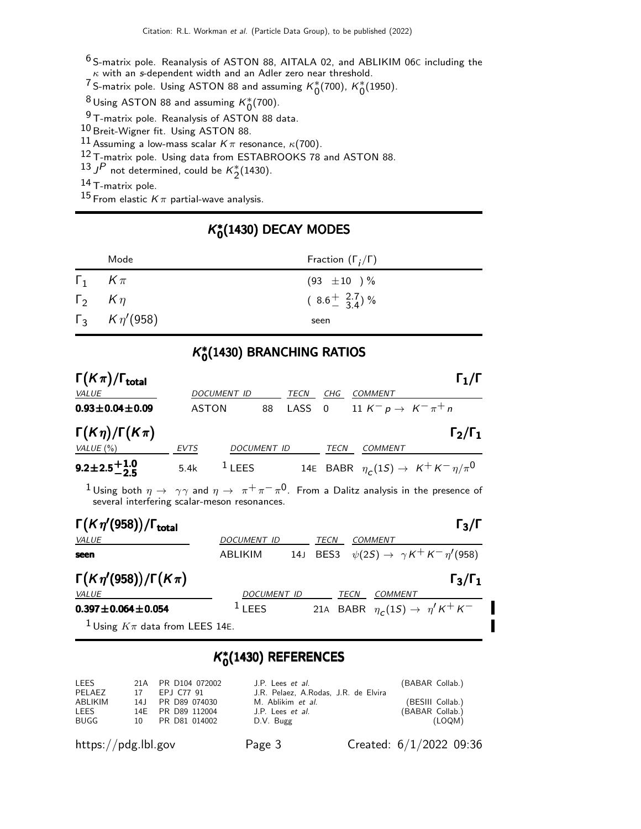$^6$  S-matrix pole. Reanalysis of ASTON 88, AITALA 02, and ABLIKIM 06C including the  $\kappa$  with an s-dependent width and an Adler zero near threshold.

 $\frac{7}{100}$ S-matrix pole. Using ASTON 88 and assuming  $K_0^*(700)$ ,  $K_0^*(1950)$ .

 $^8$  Using ASTON 88 and assuming  $K_0^*(700)$ .

 $9$  T-matrix pole. Reanalysis of ASTON 88 data.

10 Breit-Wigner fit. Using ASTON 88.

11 Assuming a low-mass scalar  $K\pi$  resonance,  $\kappa$ (700).

12 T-matrix pole. Using data from ESTABROOKS 78 and ASTON 88.

13 JP not determined, could be  $K_2^*(1430)$ .

14 T-matrix pole.

<sup>15</sup> From elastic  $K\pi$  partial-wave analysis.

# K ∗  $_{0}^{*}(1430)$  DECAY MODES

| Mode                       | Fraction $(\Gamma_i/\Gamma)$          |
|----------------------------|---------------------------------------|
| $\Gamma_1$ $K \pi$         | $(93 \pm 10) \%$                      |
| $\Gamma_2$ $K\eta$         | $(8.6 \frac{+}{-} \frac{2.7}{3.4})$ % |
| $\Gamma_3$ $K \eta' (958)$ | seen                                  |

# K ∗  $_{0}^{\ast}(1430)$  BRANCHING RATIOS

| $\Gamma(K\pi)/\Gamma_{\rm total}$ |              |                    |    |      |                         |                                                                       | $\Gamma_1/\Gamma$                                  |
|-----------------------------------|--------------|--------------------|----|------|-------------------------|-----------------------------------------------------------------------|----------------------------------------------------|
| <b>VALUE</b>                      |              | <b>DOCUMENT ID</b> |    | TECN | CHG                     | <b>COMMENT</b>                                                        |                                                    |
| $0.93 \pm 0.04 \pm 0.09$          | <b>ASTON</b> |                    | 88 | LASS | $\overline{\mathbf{0}}$ | 11 K <sup>-</sup> p $\rightarrow$ K <sup>-</sup> $\pi$ <sup>+</sup> n |                                                    |
| $\Gamma(K\eta)/\Gamma(K\pi)$      |              |                    |    |      |                         |                                                                       | $\Gamma_2/\Gamma_1$                                |
| VALUE $(\% )$                     | <b>EVTS</b>  | DOCUMENT ID        |    |      | TECN                    | COMMENT                                                               |                                                    |
| $9.2\pm2.5\frac{+1.0}{-2.5}$      | 5.4k         | $1$ LEES           |    |      |                         |                                                                       | 14E BABR $\eta_c(1S) \rightarrow K^+K^-\eta/\pi^0$ |

 $1$  Using both  $\eta \to -\gamma\gamma$  and  $\eta \to -\pi^+\pi^-\pi^0$ . From a Dalitz analysis in the presence of several interfering scalar-meson resonances.

| $\Gamma(K\eta'(958))/\Gamma_{\text{total}}$   |                    |          |      |                                                  | $\Gamma_3/\Gamma$   |
|-----------------------------------------------|--------------------|----------|------|--------------------------------------------------|---------------------|
| VALUE                                         | <b>DOCUMENT ID</b> | TECN     |      | COMMENT                                          |                     |
| seen                                          | ABLIKIM            | 14J BES3 |      | $\psi(2S) \rightarrow \gamma K^+ K^- \eta'(958)$ |                     |
| $\Gamma(K\eta'(958))/\Gamma(K\pi)$            |                    |          |      |                                                  | $\Gamma_3/\Gamma_1$ |
| <i>VALUE</i>                                  | <b>DOCUMENT ID</b> |          | TECN | <b>COMMENT</b>                                   |                     |
| $0.397 \pm 0.064 \pm 0.054$                   | $1$ LEES           |          |      | 21A BABR $\eta_c(1S) \rightarrow \eta' K^+ K^-$  |                     |
| <sup>1</sup> Using $K\pi$ data from LEES 14E. |                    |          |      |                                                  |                     |

# K ∗  $_{0}^{\ast}(1$ 430) REFERENCES

| LEES    | 21A PR D104 072002 | J.P. Lees <i>et al.</i>              | (BABAR Collab.)  |
|---------|--------------------|--------------------------------------|------------------|
| PELAEZ  | 17 EPJ C77 91      | J.R. Pelaez. A.Rodas. J.R. de Elvira |                  |
| ABLIKIM | 14.J PR D89 074030 | M. Ablikim <i>et al.</i>             | (BESIII Collab.) |
| LEES    | 14E PR D89 112004  | J.P. Lees <i>et al.</i>              | (BABAR Collab.)  |
| BUGG    | 10 PR D81 014002   | D.V. Bugg                            | (LOQM)           |

′